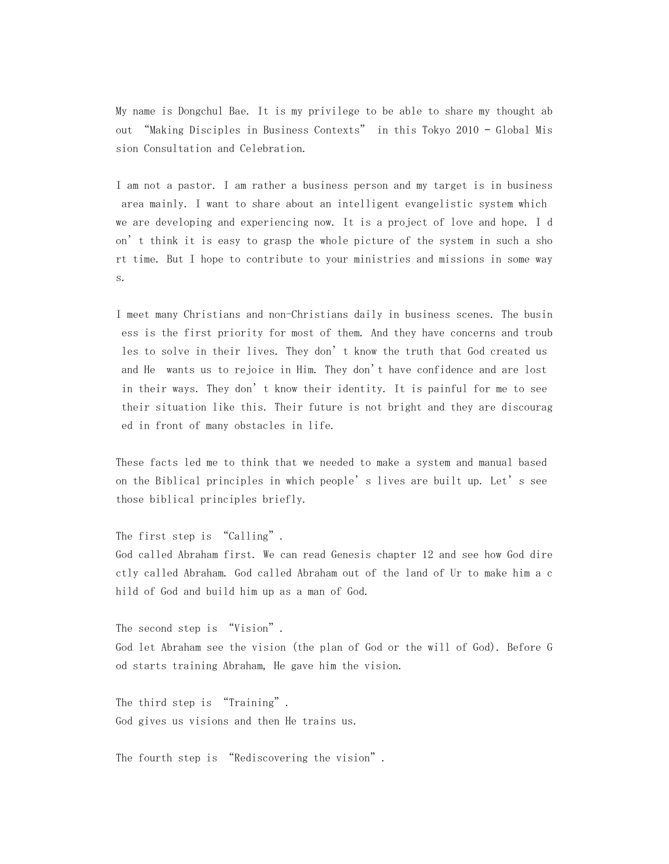My name is Dongchul Bae. It is my privilege to be able to share my thought ab out "Making Disciples in Business Contexts" in this Tokyo 2010 – Global Mis sion Consultation and Celebration.

I am not a pastor. I am rather a business person and my target is in business area mainly. I want to share about an intelligent evangelistic system which we are developing and experiencing now. It is a project of love and hope. I d on't think it is easy to grasp the whole picture of the system in such a sho rt time. But I hope to contribute to your ministries and missions in some way s.

I meet many Christians and non-Christians daily in business scenes. The busin ess is the first priority for most of them. And they have concerns and troub les to solve in their lives. They don't know the truth that God created us and He wants us to rejoice in Him. They don't have confidence and are lost in their ways. They don't know their identity. It is painful for me to see their situation like this. Their future is not bright and they are discourag ed in front of many obstacles in life.

These facts led me to think that we needed to make a system and manual based on the Biblical principles in which people's lives are built up. Let's see those biblical principles briefly.

The first step is "Calling".

God called Abraham first. We can read Genesis chapter 12 and see how God dire ctly called Abraham. God called Abraham out of the land of Ur to make him a c hild of God and build him up as a man of God.

The second step is "Vision". God let Abraham see the vision (the plan of God or the will of God). Before G od starts training Abraham, He gave him the vision.

The third step is "Training". God gives us visions and then He trains us.

The fourth step is "Rediscovering the vision".